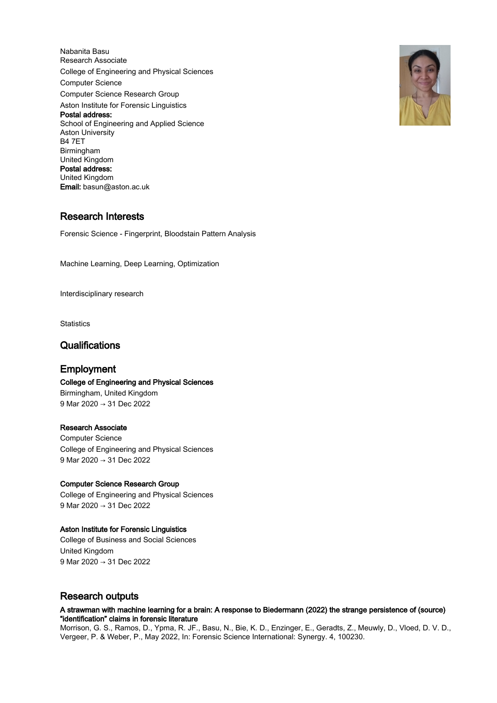Nabanita Basu Research Associate College of Engineering and Physical Sciences Computer Science Computer Science Research Group Aston Institute for Forensic Linguistics Postal address: School of Engineering and Applied Science Aston University B4 7ET Birmingham United Kingdom Postal address: United Kingdom Email: basun@aston.ac.uk

# Research Interests

Forensic Science - Fingerprint, Bloodstain Pattern Analysis

Machine Learning, Deep Learning, Optimization

Interdisciplinary research

**Statistics** 

# **Qualifications**

# Employment

# College of Engineering and Physical Sciences

Birmingham, United Kingdom 9 Mar 2020 → 31 Dec 2022

# Research Associate

Computer Science College of Engineering and Physical Sciences 9 Mar 2020 → 31 Dec 2022

# Computer Science Research Group

College of Engineering and Physical Sciences 9 Mar 2020 → 31 Dec 2022

# Aston Institute for Forensic Linguistics

College of Business and Social Sciences United Kingdom 9 Mar 2020 → 31 Dec 2022

# Research outputs

### A strawman with machine learning for a brain: A response to Biedermann (2022) the strange persistence of (source) "identification" claims in forensic literature

Morrison, G. S., Ramos, D., Ypma, R. JF., Basu, N., Bie, K. D., Enzinger, E., Geradts, Z., Meuwly, D., Vloed, D. V. D., Vergeer, P. & Weber, P., May 2022, In: Forensic Science International: Synergy. 4, 100230.